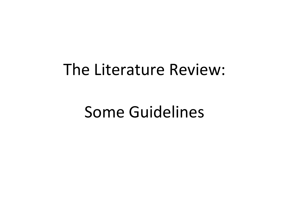## The Literature Review:

Some Guidelines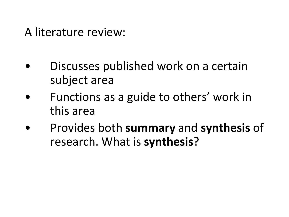#### A literature review:

- Discusses published work on a certain subject area
- Functions as a guide to others' work in this area
- Provides both **summary** and **synthesis** of research. What is **synthesis**?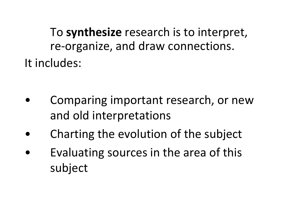To **synthesize** research is to interpret, re-organize, and draw connections. It includes:

- Comparing important research, or new and old interpretations
- Charting the evolution of the subject
- Evaluating sources in the area of this subject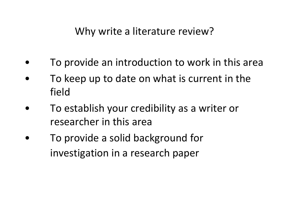- To provide an introduction to work in this area
- To keep up to date on what is current in the field
- To establish your credibility as a writer or researcher in this area
- To provide a solid background for investigation in a research paper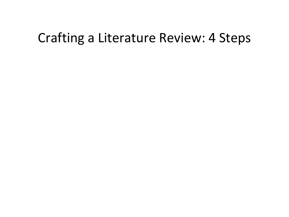#### Crafting a Literature Review: 4 Steps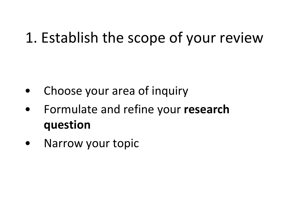## 1. Establish the scope of your review

- Choose your area of inquiry
- Formulate and refine your **research question**
- Narrow your topic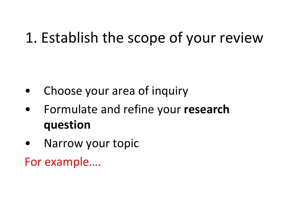## 1. Establish the scope of your review

- Choose your area of inquiry
- Formulate and refine your **research question**
- Narrow your topic

For example….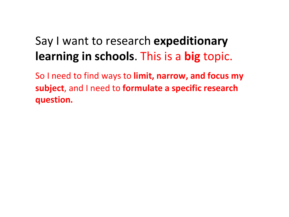### Say I want to research **expeditionary learning in schools**. This is a **big** topic.

So I need to find ways to **limit, narrow, and focus my subject**, and I need to **formulate a specific research question.**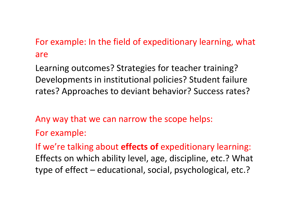#### For example: In the field of expeditionary learning, what are

Learning outcomes? Strategies for teacher training? Developments in institutional policies? Student failure rates? Approaches to deviant behavior? Success rates?

Any way that we can narrow the scope helps:

For example:

If we're talking about **effects of** expeditionary learning: Effects on which ability level, age, discipline, etc.? What type of effect – educational, social, psychological, etc.?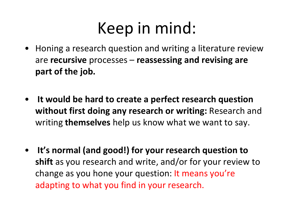# Keep in mind:

- Honing a research question and writing a literature review are **recursive** processes – **reassessing and revising are part of the job.**
- **It would be hard to create a perfect research question without first doing any research or writing:** Research and writing **themselves** help us know what we want to say.
- **It's normal (and good!) for your research question to shift** as you research and write, and/or for your review to change as you hone your question: It means you're adapting to what you find in your research.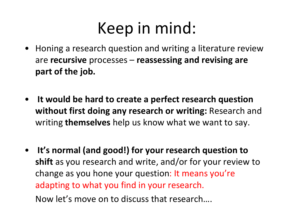# Keep in mind:

- Honing a research question and writing a literature review are **recursive** processes – **reassessing and revising are part of the job.**
- **It would be hard to create a perfect research question without first doing any research or writing:** Research and writing **themselves** help us know what we want to say.
- **It's normal (and good!) for your research question to shift** as you research and write, and/or for your review to change as you hone your question: It means you're adapting to what you find in your research. Now let's move on to discuss that research….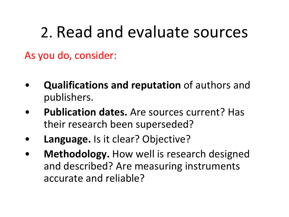# 2. Read and evaluate sources

As you do, consider:

- **Qualifications and reputation** of authors and publishers.
- **Publication dates.** Are sources current? Has their research been superseded?
- **Language.** Is it clear? Objective?
- **Methodology.** How well is research designed and described? Are measuring instruments accurate and reliable?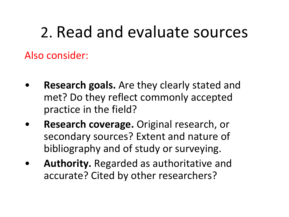# 2. Read and evaluate sources

Also consider:

- **Research goals.** Are they clearly stated and met? Do they reflect commonly accepted practice in the field?
- **Research coverage.** Original research, or secondary sources? Extent and nature of bibliography and of study or surveying.
- **Authority.** Regarded as authoritative and accurate? Cited by other researchers?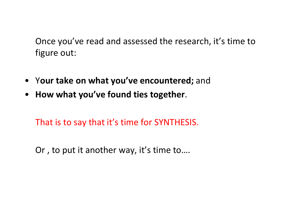Once you've read and assessed the research, it's time to figure out:

- Y**our take on what you've encountered;** and
- **How what you've found ties together**.

That is to say that it's time for SYNTHESIS.

Or , to put it another way, it's time to….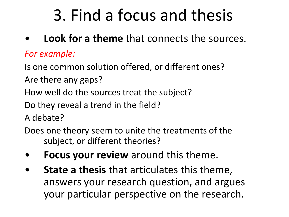# 3. Find a focus and thesis

• **Look for a theme** that connects the sources.

#### *For example:*

Is one common solution offered, or different ones?

Are there any gaps?

How well do the sources treat the subject?

Do they reveal a trend in the field?

A debate?

Does one theory seem to unite the treatments of the subject, or different theories?

- **Focus your review** around this theme.
- **State a thesis** that articulates this theme, answers your research question, and argues your particular perspective on the research.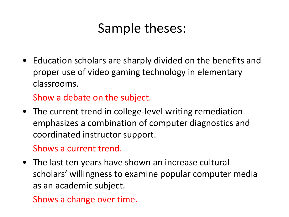## Sample theses:

• Education scholars are sharply divided on the benefits and proper use of video gaming technology in elementary classrooms.

Show a debate on the subject.

• The current trend in college-level writing remediation emphasizes a combination of computer diagnostics and coordinated instructor support.

Shows a current trend.

• The last ten years have shown an increase cultural scholars' willingness to examine popular computer media as an academic subject.

Shows a change over time.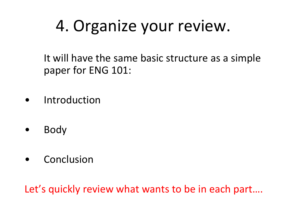# 4. Organize your review.

It will have the same basic structure as a simple paper for ENG 101:

- **Introduction**
- Body
- Conclusion

Let's quickly review what wants to be in each part….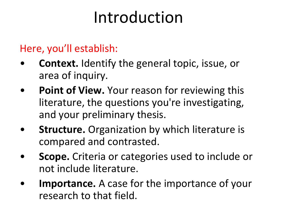# Introduction

#### Here, you'll establish:

- **Context.** Identify the general topic, issue, or area of inquiry.
- **Point of View.** Your reason for reviewing this literature, the questions you're investigating, and your preliminary thesis.
- **Structure.** Organization by which literature is compared and contrasted.
- **Scope.** Criteria or categories used to include or not include literature.
- **Importance.** A case for the importance of your research to that field.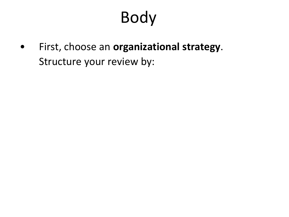• First, choose an **organizational strategy**. Structure your review by: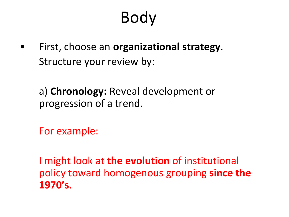• First, choose an **organizational strategy**. Structure your review by:

a) **Chronology:** Reveal development or progression of a trend.

For example:

I might look at **the evolution** of institutional policy toward homogenous grouping **since the 1970's.**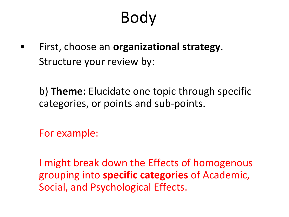• First, choose an **organizational strategy**. Structure your review by:

b) **Theme:** Elucidate one topic through specific categories, or points and sub-points.

For example:

I might break down the Effects of homogenous grouping into **specific categories** of Academic, Social, and Psychological Effects.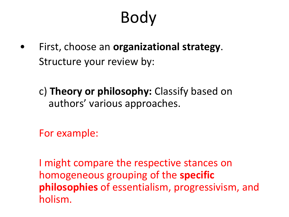- First, choose an **organizational strategy**. Structure your review by:
	- c) **Theory or philosophy:** Classify based on authors' various approaches.

For example:

I might compare the respective stances on homogeneous grouping of the **specific philosophies** of essentialism, progressivism, and holism.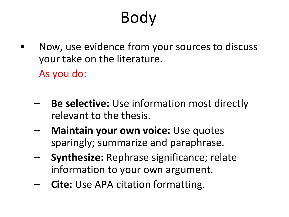- Now, use evidence from your sources to discuss your take on the literature. As you do:
	- **Be selective:** Use information most directly relevant to the thesis.
	- **Maintain your own voice:** Use quotes sparingly; summarize and paraphrase.
	- **Synthesize:** Rephrase significance; relate information to your own argument.
	- **Cite:** Use APA citation formatting.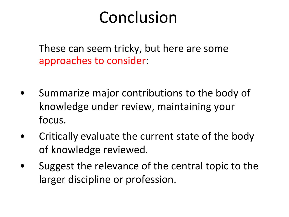## Conclusion

These can seem tricky, but here are some approaches to consider:

- Summarize major contributions to the body of knowledge under review, maintaining your focus.
- Critically evaluate the current state of the body of knowledge reviewed.
- Suggest the relevance of the central topic to the larger discipline or profession.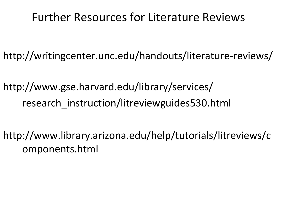#### Further Resources for Literature Reviews

- http://writingcenter.unc.edu/handouts/literature-reviews/
- http://www.gse.harvard.edu/library/services/ research instruction/litreviewguides530.html
- http://www.library.arizona.edu/help/tutorials/litreviews/c omponents.html